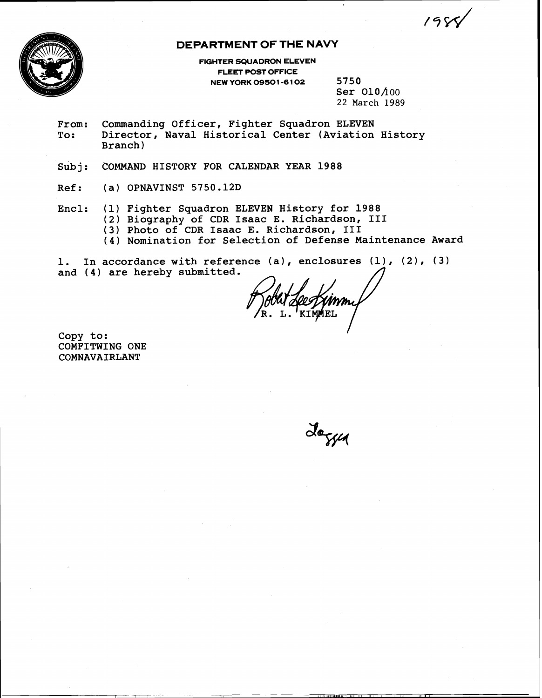$19C$ 



# **DEPARTMENT OF THE NAVY**

**FIGHTER SQUADRON ELEVEN FLEET POST OFFICE NEW YORK 09501 -6 102** 5750

Ser  $010/100$ 22 March 1989

- From: Commanding Officer, Fighter Squadron ELEVEN<br>To: Director, Naval Historical Center (Aviation Director, Naval Historical Center (Aviation History Branch
- Subj: COMMAND HISTORY FOR CALENDAR YEAR 1988
- Ref: (a) OPNAVINST 5750.12D
- Encl: **(1)** Fighter Squadron ELEVEN History for 1988
	- (2) Biography of CDR Isaac E. Richardson, **I11** 
		- (3) Photo of CDR Isaac E. Richardson, I11
		- (4) Nomination for Selection of Defense Maintenance Award

1. In accordance with reference (a), enclosures (I), (2), (3) and **(4)** are hereby submitted.

Copy to: COMFITWING ONE COMNAVAIRLANT

Joseph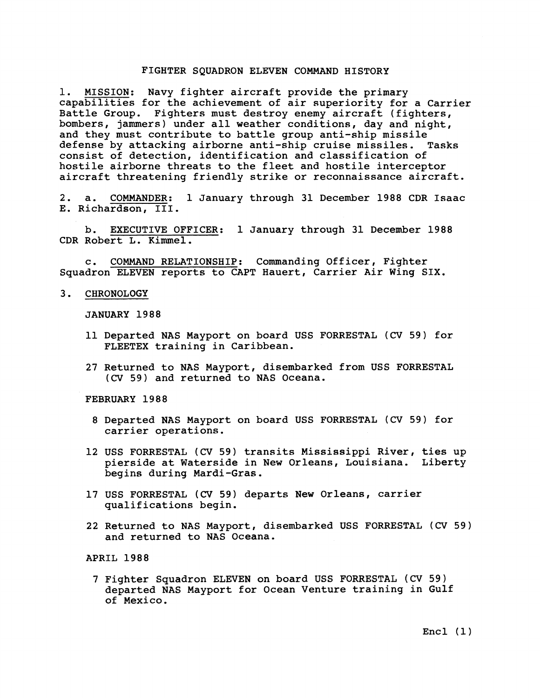#### FIGHTER SQUADRON ELEVEN COMMAND HISTORY

1. MISSION: Navy fighter aircraft provide the primary capabilities for the achievement of air superiority for a Carrier Battle Group. Fighters must destroy enemy aircraft (fighters, bombers, jammers) under all weather conditions, day and night, and they must contribute to battle group anti-ship missile<br>defense by attacking airborne anti-ship cruise missiles. Tasks defense by attacking airborne anti-ship cruise missiles. consist of detection, identification and classification of hostile airborne threats to the fleet and hostile interceptor aircraft threatening friendly strike or reconnaissance aircraft.

2. a. COMMANDER: 1 January through 31 December 1988 CDR Isaac E. Richardson, 111.

b. EXECUTIVE OFFICER: 1 January through 31 December 1988 CDR Robert L. Kimmel.

c. COMMAND RELATIONSHIP: Commanding Officer, Fighter Squadron ELEVEN reports to CAPT Hauert, Carrier Air Wing SIX.

3. CHRONOLOGY

JANUARY 1988

- 11 Departed NAS Mayport on board USS FORRESTAL (CV 59) for FLEETEX training in Caribbean.
- 27 Returned to NAS Mayport, disembarked from USS FORRESTAL **(CV** 59) and returned to NAS Oceana.

FEBRUARY 1988

- 8 Departed NAS Mayport on board USS FORRESTAL (CV 59) for carrier operations.
- 12 USS FORRESTAL (CV 59) transits Mississippi River, ties up pierside at Waterside in New Orleans, Louisiana. Liberty begins during Mardi-Gras.
- 17 USS FORRESTAL **(CV** 59) departs New Orleans, carrier qualifications begin.
- 22 Returned to NAS Mayport, disembarked USS FORRESTAL (CV 59) and returned to NAS Oceana.

APRIL 1988

7 Fighter Squadron ELEVEN on board USS FORRESTAL (CV 59) departed NAS Mayport for Ocean Venture training in Gulf of Mexico.

Encl **(1)**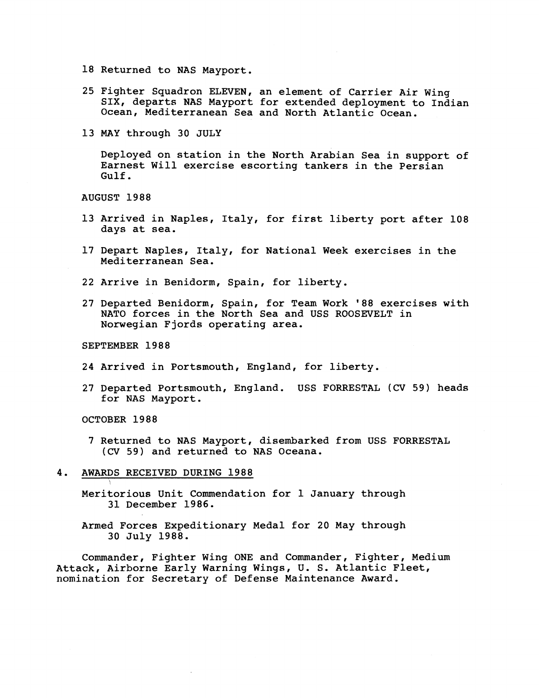18 Returned to NAS Mayport.

- 25 Fighter Squadron ELEVEN, an element of Carrier Air Wing SIX, departs NAS Mayport for extended deployment to Indian Ocean, Mediterranean Sea and North Atlantic Ocean.
- 13 MAY through 30 JULY

Deployed on station in the North Arabian Sea in support of Earnest Will exercise escorting tankers in the Persian Gulf.

AUGUST 1988

- 13 Arrived in Naples, Italy, for first liberty port after 108 days at sea.
- 17 Depart Naples, Italy, for National Week exercises in the Mediterranean Sea.
- 22 Arrive in Benidorm, Spain, for liberty.
- 27 Departed Benidorm, Spain, for Team Work '88 exercises with NATO forces in the North Sea and USS ROOSEVELT in Norwegian Fjords operating area.

SEPTEMBER 1988

- 24 Arrived in Portsmouth, England, for liberty.
- 27 Departed Portsmouth, England. USS FORRESTAL (CV 59) heads for NAS Mayport.

OCTOBER 1988

- 7 Returned to NAS Mayport, disembarked from USS. FORRESTAL **(CV** 59) and returned to NAS Oceana.
- 4. AWARDS RECEIVED DURING 1988
	- Meritorious Unit Commendation for 1 January through 31 December 1986.
	- Armed Forces Expeditionary Medal for 20 May through 30 July 1988.

Commander, Fighter Wing ONE and Commander, Fighter, Medium Attack, Airborne Early Warning Wings, U. S. Atlantic Fleet, nomination for Secretary of Defense Maintenance Award.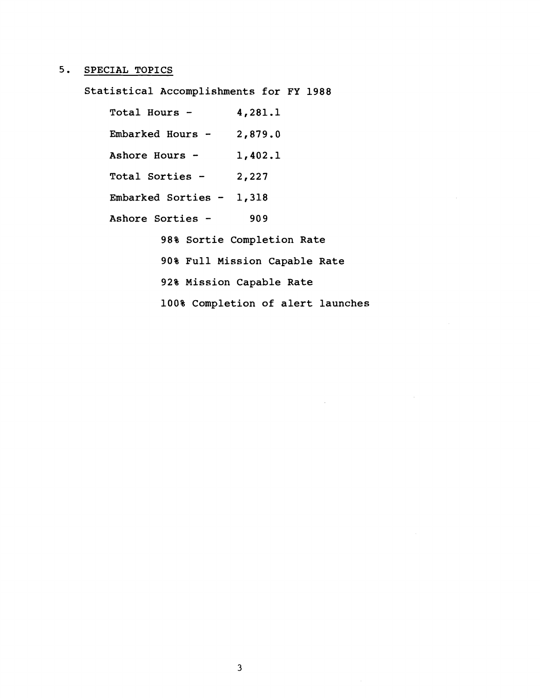# **5. SPECIAL TOPICS**

**Statistical Accomplishments for FY 1988** 

**Total Hours** - **4,281.1 Embarked Hours** - **2,879.0 Ashore Hours** - **1,402.1 Total Sorties** - **2,227 Embarked Sorties** - **1,318 Ashore Sorties** - **<sup>909</sup> 98% Sortie Completion Rate 90% Full Mission Capable Rate 92% Mission Capable Rate 100% Completion of alert launches**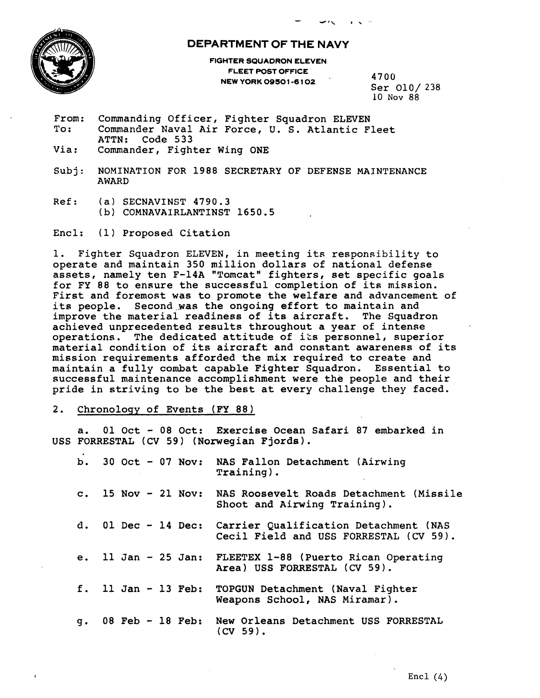

## **DEPARTMENT OF THE NAVY**

FIGHTER SQUADRON ELEVEN FLEET POST OFFICE NEW YORK 09501-6102 4700

Ser 010/ **238** 

- From: Commanding Officer, Fighter Squadron ELEVEN<br>To: Commander Naval Air Force, U.S. Atlantic F Commander Naval Air Force, U. S. Atlantic Fleet ATTN: Code 533
- Via: Commander, Fighter Wing ONE
- Subj: NOMINATION FOR 1988 SECRETARY OF DEFENSE MAINTENANCE AWARD
- Ref: **(a)** SECNAVINST 4790.3 **(b)** COMNAVAIRLANTINST 1650.5

Encl: (1) Proposed Citation

1. Fighter Squadron ELEVEN, in meeting its responsibility to operate and maintain 350 million dollars of national defense assets, namely ten F-14A "Tomcat" fighters, set specific goals for FY 88 to ensure the successful completion of its mission. First and foremost was to promote the welfare and advancement of its people. Second was the ongoing effort to maintain and improve the material readiness of its aircraft. The Squadron achieved unprecedented results throughout a year of intense operations. The dedicated attitude of its personnel, superior material condition of its aircraft and constant awareness of its mission requirements afforded the mix required to create and maintain a fully combat capable Fighter Squadron. Essential to successful maintenance accomplishment were the people and their pride in striving to be the best at every challenge they faced.

### 2. Chronolosy of Events **(FY** 88)

a. 01 Oct - 08 Oct: Exercise Ocean Safari 87 embarked in USS FORRESTAL (CV 59) (Norwegian Fjords).

| b.            |                       | 30 Oct - 07 Nov: NAS Fallon Detachment (Airwing<br>$Training)$ .                |
|---------------|-----------------------|---------------------------------------------------------------------------------|
|               | c. $15 Nov - 21 Nov:$ | NAS Roosevelt Roads Detachment (Missile<br>Shoot and Airwing Training).         |
|               | d. 01 Dec $-$ 14 Dec: | Carrier Qualification Detachment (NAS<br>Cecil Field and USS FORRESTAL (CV 59). |
|               | e. 11 Jan $-$ 25 Jan: | FLEETEX 1-88 (Puerto Rican Operating<br>Area) USS FORRESTAL (CV 59).            |
|               | f. $11$ Jan - 13 Feb: | TOPGUN Detachment (Naval Fighter<br>Weapons School, NAS Miramar).               |
| $q_{\bullet}$ | 08 Feb $-18$ Feb:     | New Orleans Detachment USS FORRESTAL<br>$(CV59)$ .                              |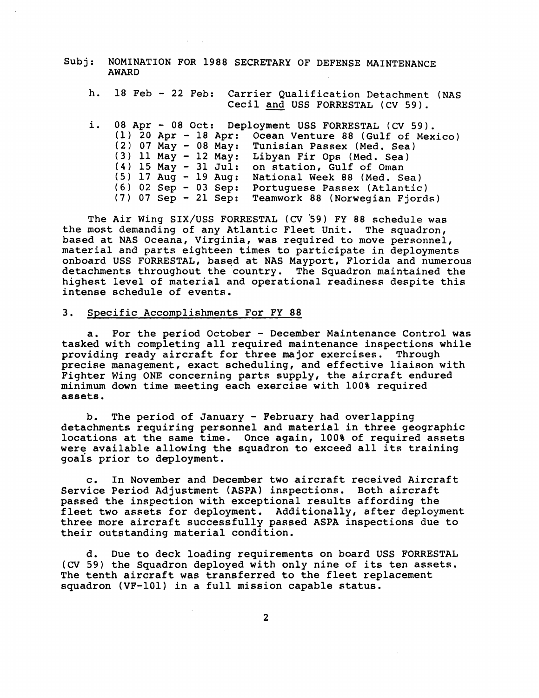- AWARD
- Subj: NOMINATION FOR 1988 SECRETARY OF DEFENSE MAINTENANCE<br>
AWARD<br>
h. 18 Feb 22 Feb: Carrier Qualification Detachment (1991)<br>
Cecil and USS FORRESTAL (CV 59). h. 18 Feb - 22 Feb: Carrier Qualification Detachment (NAS<br>Cecil and USS FORRESTAL (CV 59).
	- i. 08 Apr 08 Oct: Deployment USS FORRESTAL (CV 59). (1) 20 Apr - 18 Apr: Ocean Venture 88 (Gulf of Mexico) (2) 07 May - 08 May: Tunisian Passex (Med. Sea) (3) 11 May - 12 May: Libyan Fir Ops (Med. Sea)  $(4)$  15 May - 31 Jul: on station, Gulf of Oman **(5)** 17 Aug - 19 Aug: National Week 88 (Med. Sea) (6) 02 Sep - 03 Sep: Portuguese Passex (Atlantic) (7) 07 Sep - 21 Sep: Teamwork 88 (Norwegian Fjords)

The Air Wing SIX/USS FORRESTAL **(CV '59)** FY 88 schedule was the most demanding of any Atlantic Fleet Unit. The squadron, based at NAS Oceana, Virginia, was required to move personnel, material and parts eighteen times to participate in deployments onboard USS FORRESTAL, based at NAS Mayport, Florida and numerous detachments throughout the country. The Squadron maintained the highest level of material and operational readiness despite this intense schedule of events.

#### 3. Specific Accomplishments For FY 88

a. For the period October - December Maintenance Control was tasked with completing all required maintenance inspections while providing ready aircraft for three major exercises. Through precise management, exact scheduling, and effective liaison with Fighter Wing ONE concerning parts supply, the aircraft endured minimum down time meeting each exercise with 100% required assets.

b. The period of January - February had overlapping detachments requiring personnel and material in three geographic locations at the same time. Once again, 100% of required assets were available allowing the squadron to exceed all its training goals prior to deployment.

c. In November and December two aircraft received Aircraft Service Period Adjustment (ASPA) inspections. Both aircraft passed the inspection with exceptional results affording the fleet two assets for deployment. Additionally, after deployment three more aircraft successfully passed ASPA inspections due to their outstanding material condition.

d. Due to deck loading requirements on board USS FORRESTAL **(CV** 59) the Squadron deployed with only nine of its ten assets. The tenth aircraft was transferred to the fleet replacement squadron (VF-101) in a full mission capable status.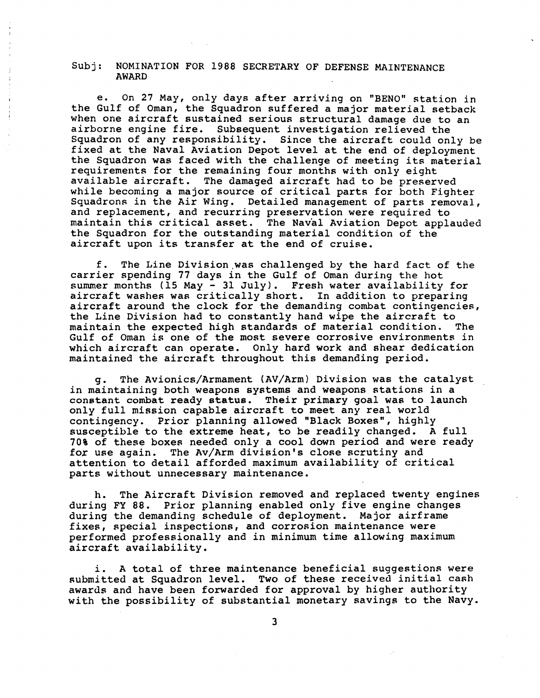#### Subj: NOMINATION FOR 1988 SECRETARY OF DEFENSE MAINTENANCE AWARD

e. On 27 May, only days after arriving on "BENO" station in the Gulf of Oman, the Squadron suffered a major material setback when one aircraft sustained serious structural damage due to an airborne engine fire. Subsequent investigation relieved the Squadron of any responsibility. Since the aircraft could only be fixed at the Naval Aviation Depot level at the end of deployment the Squadron was faced with the challenge of meeting its material requirements for the remaining four months with only eight available aircraft. The damaged aircraft had to be preserved while becoming a major source of critical parts for both Fighter Squadrons in the Air Wing. Detailed management of parts removal, and replacement, and recurring preservation were required to maintain this critical asset. The Naval Aviation Depot applauded the Squadron for the outstanding material condition of the aircraft upon its transfer at the end of cruise.

f. The Line Division.was challenged by the hard fact of the carrier spending 77 days in the Gulf of Oman during the hot summer months (15 May  $-$  31 July). Fresh water availability for aircraft washes was critically short. In addition to preparing aircraft around the clock for the demanding combat contingencies, the Line Division had to constantly hand wipe the aircraft to<br>maintain the expected high standards of material condition. The maintain the expected high standards of material condition. Gulf of Oman is one of the most severe corrosive environments in which aircraft can operate. Only hard work and shear dedication maintained the aircraft throughout this demanding period.

g. The Avionics/Armament (AV/Arm) Division was the catalyst in maintaining both weapons systems and weapons stations in a constant combat ready status. Their primary goal was to launch only full mission capable aircraft to meet any real world contingency. Prior planning allowed "Black Boxes", highly susceptible to the extreme heat, to be readily changed. A full 70% of these boxes needed only a cool down period and were ready for use again. The Av/Arm division's close scrutiny and attention to detail afforded maximum availability of critical parts without unnecessary maintenance.

h. The Aircraft Division removed and replaced twenty engines during FY 88. Prior planning enabled only five engine changes during the demanding schedule of deployment. Major airframe fixes, special inspections, and corrosion maintenance were performed professionally and in minimum time allowing maximum aircraft availability.

i. A total of three maintenance beneficial suggestions were submitted at Squadron level. Two of these received initial cash awards and have been forwarded for approval by higher authority with the possibility of substantial monetary savings to the Navy.